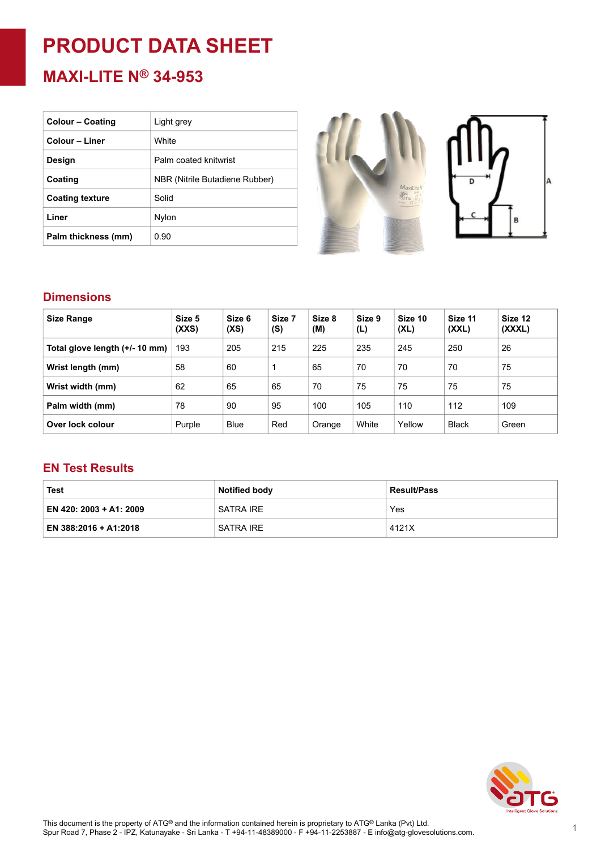# **PRODUCT DATA SHEET**

**MAXI-LITE N® 34-953**

| <b>Colour – Coating</b> | Light grey                     |
|-------------------------|--------------------------------|
| Colour - Liner          | White                          |
| Design                  | Palm coated knitwrist          |
| Coating                 | NBR (Nitrile Butadiene Rubber) |
| <b>Coating texture</b>  | Solid                          |
| Liner                   | Nylon                          |
| Palm thickness (mm)     | 0.90                           |



#### **Dimensions**

| <b>Size Range</b>              | Size 5<br>(XXS) | Size 6<br>(XS) | Size 7<br>(S) | Size 8<br>(M) | Size 9<br>(L) | Size 10<br>(XL) | Size 11<br>(XXL) | Size 12<br>(XXXL) |
|--------------------------------|-----------------|----------------|---------------|---------------|---------------|-----------------|------------------|-------------------|
| Total glove length (+/- 10 mm) | 193             | 205            | 215           | 225           | 235           | 245             | 250              | 26                |
| Wrist length (mm)              | 58              | 60             |               | 65            | 70            | 70              | 70               | 75                |
| Wrist width (mm)               | 62              | 65             | 65            | 70            | 75            | 75              | 75               | 75                |
| Palm width (mm)                | 78              | 90             | 95            | 100           | 105           | 110             | 112              | 109               |
| Over lock colour               | Purple          | <b>Blue</b>    | Red           | Orange        | White         | Yellow          | <b>Black</b>     | Green             |

#### **EN Test Results**

| Test                    | <b>Notified body</b> | <b>Result/Pass</b> |  |  |
|-------------------------|----------------------|--------------------|--|--|
| EN 420: 2003 + A1: 2009 | SATRA IRE            | Yes                |  |  |
| EN 388:2016 + A1:2018   | SATRA IRE            | 4121X              |  |  |

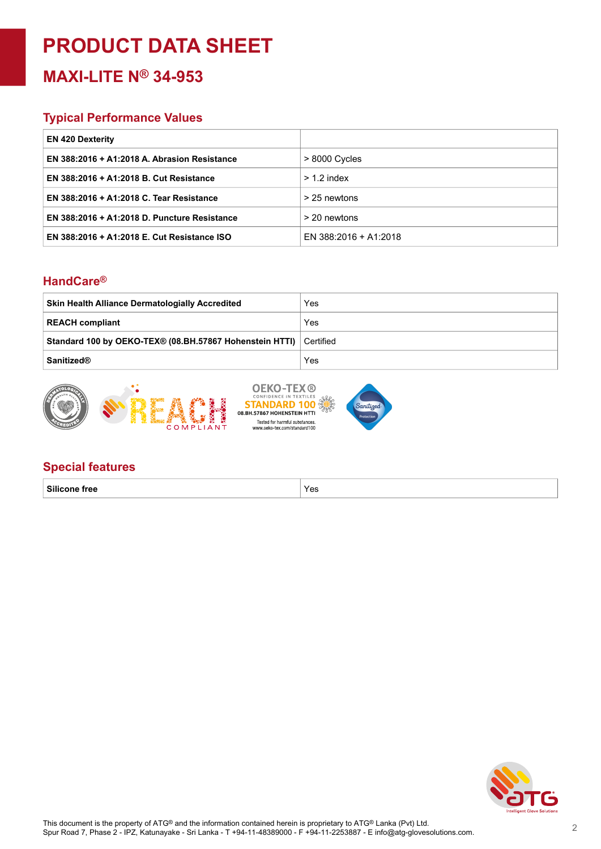## **PRODUCT DATA SHEET**

### **MAXI-LITE N® 34-953**

#### **Typical Performance Values**

| <b>EN 420 Dexterity</b>                      |                       |
|----------------------------------------------|-----------------------|
| EN 388:2016 + A1:2018 A. Abrasion Resistance | $>8000$ Cycles        |
| EN 388:2016 + A1:2018 B. Cut Resistance      | $> 1.2$ index         |
| EN 388:2016 + A1:2018 C. Tear Resistance     | > 25 newtons          |
| EN 388:2016 + A1:2018 D. Puncture Resistance | > 20 newtons          |
| EN 388:2016 + A1:2018 E. Cut Resistance ISO  | EN 388:2016 + A1:2018 |

#### **HandCare ®**

| <b>Skin Health Alliance Dermatologially Accredited</b>  | Yes         |
|---------------------------------------------------------|-------------|
| <b>REACH compliant</b>                                  | Yes         |
| Standard 100 by OEKO-TEX® (08.BH.57867 Hohenstein HTTI) | ∣ Certified |
| <b>Sanitized®</b>                                       | Yes         |
|                                                         |             |



#### **Special features**

**Silicone free** Yes